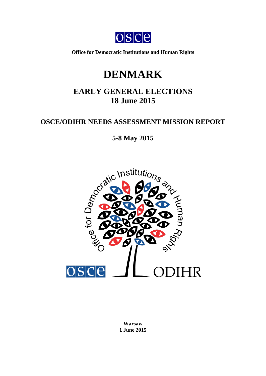

**Office for Democratic Institutions and Human Rights**

# **DENMARK**

# **EARLY GENERAL ELECTIONS 18 June 2015**

# **OSCE/ODIHR NEEDS ASSESSMENT MISSION REPORT**



**Warsaw 1 June 2015**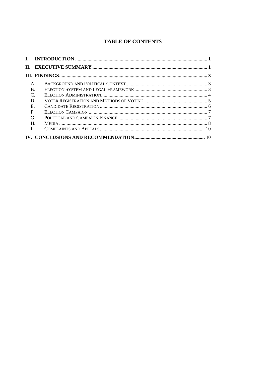# **TABLE OF CONTENTS**

| Н.             |  |
|----------------|--|
|                |  |
| $\mathsf{A}$ . |  |
| $\bf{B}$ .     |  |
| $\mathcal{C}$  |  |
| D.             |  |
| E              |  |
| F.             |  |
| G              |  |
| Н.             |  |
| L              |  |
|                |  |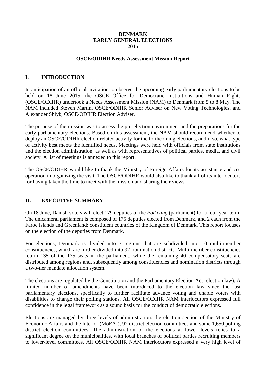## **DENMARK EARLY GENERAL ELECTIONS 2015**

#### **OSCE/ODIHR Needs Assessment Mission Report**

# <span id="page-2-0"></span>**I. INTRODUCTION**

In anticipation of an official invitation to observe the upcoming early parliamentary elections to be held on 18 June 2015, the OSCE Office for Democratic Institutions and Human Rights (OSCE/ODIHR) undertook a Needs Assessment Mission (NAM) to Denmark from 5 to 8 May. The NAM included Steven Martin, OSCE/ODIHR Senior Adviser on New Voting Technologies, and Alexander Shlyk, OSCE/ODIHR Election Adviser.

The purpose of the mission was to assess the pre-election environment and the preparations for the early parliamentary elections. Based on this assessment, the NAM should recommend whether to deploy an OSCE/ODIHR election-related activity for the forthcoming elections, and if so, what type of activity best meets the identified needs. Meetings were held with officials from state institutions and the election administration, as well as with representatives of political parties, media, and civil society. A list of meetings is annexed to this report.

The OSCE/ODIHR would like to thank the Ministry of Foreign Affairs for its assistance and cooperation in organizing the visit. The OSCE/ODIHR would also like to thank all of its interlocutors for having taken the time to meet with the mission and sharing their views.

# <span id="page-2-1"></span>**II. EXECUTIVE SUMMARY**

On 18 June, Danish voters will elect 179 deputies of the *Folketing* (parliament) for a four-year term. The unicameral parliament is composed of 175 deputies elected from Denmark, and 2 each from the Faroe Islands and Greenland; constituent countries of the Kingdom of Denmark. This report focuses on the election of the deputies from Denmark.

For elections, Denmark is divided into 3 regions that are subdivided into 10 multi-member constituencies, which are further divided into 92 nomination districts. Multi-member constituencies return 135 of the 175 seats in the parliament, while the remaining 40 compensatory seats are distributed among regions and, subsequently among constituencies and nomination districts through a two-tier mandate allocation system.

The elections are regulated by the Constitution and the Parliamentary Election Act (election law). A limited number of amendments have been introduced to the election law since the last parliamentary elections, specifically to further facilitate advance voting and enable voters with disabilities to change their polling stations. All OSCE/ODIHR NAM interlocutors expressed full confidence in the legal framework as a sound basis for the conduct of democratic elections.

Elections are managed by three levels of administration: the election section of the Ministry of Economic Affairs and the Interior (MoEAI), 92 district election committees and some 1,650 polling district election committees. The administration of the elections at lower levels relies to a significant degree on the municipalities, with local branches of political parties recruiting members to lower-level committees. All OSCE/ODIHR NAM interlocutors expressed a very high level of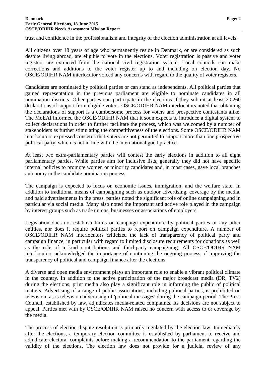trust and confidence in the professionalism and integrity of the election administration at all levels.

All citizens over 18 years of age who permanently reside in Denmark, or are considered as such despite living abroad, are eligible to vote in the elections. Voter registration is passive and voter registers are extracted from the national civil registration system. Local councils can make corrections and additions to the voter register up to and including on election day. No OSCE/ODIHR NAM interlocutor voiced any concerns with regard to the quality of voter registers.

Candidates are nominated by political parties or can stand as independents. All political parties that gained representation in the previous parliament are eligible to nominate candidates in all nomination districts. Other parties can participate in the elections if they submit at least 20,260 declarations of support from eligible voters. OSCE/ODIHR NAM interlocutors noted that obtaining the declarations of support is a cumbersome process for voters and prospective contestants alike. The MoEAI informed the OSCE/ODIHR NAM that it soon expects to introduce a digital system to collect declarations in order to further facilitate the process, which was welcomed by a number of stakeholders as further stimulating the competitiveness of the elections. Some OSCE/ODIHR NAM interlocutors expressed concerns that voters are not permitted to support more than one prospective political party, which is not in line with the international good practice.

At least two extra-parliamentary parties will contest the early elections in addition to all eight parliamentary parties. While parties aim for inclusive lists, generally they did not have specific internal policies to promote women or minority candidates and, in most cases, gave local branches autonomy in the candidate nomination process.

The campaign is expected to focus on economic issues, immigration, and the welfare state. In addition to traditional means of campaigning such as outdoor advertising, coverage by the media, and paid advertisements in the press, parties noted the significant role of online campaigning and in particular via social media. Many also noted the important and active role played in the campaign by interest groups such as trade unions, businesses or associations of employers.

Legislation does not establish limits on campaign expenditure by political parties or any other entities, nor does it require political parties to report on campaign expenditure. A number of OSCE/ODIHR NAM interlocutors criticized the lack of transparency of political party and campaign finance, in particular with regard to limited disclosure requirements for donations as well as the role of in-kind contributions and third-party campaigning. All OSCE/ODIHR NAM interlocutors acknowledged the importance of continuing the ongoing process of improving the transparency of political and campaign finance after the elections.

A diverse and open media environment plays an important role to enable a vibrant political climate in the country. In addition to the active participation of the major broadcast media (DR, TV2) during the elections, print media also play a significant role in informing the public of political matters. Advertising of a range of public associations, including political parties, is prohibited on television, as is television advertising of 'political messages' during the campaign period. The Press Council, established by law, adjudicates media-related complaints. Its decisions are not subject to appeal. Parties met with by OSCE/ODIHR NAM raised no concern with access to or coverage by the media.

The process of election dispute resolution is primarily regulated by the election law. Immediately after the elections, a temporary election committee is established by parliament to receive and adjudicate electoral complaints before making a recommendation to the parliament regarding the validity of the elections. The election law does not provide for a judicial review of any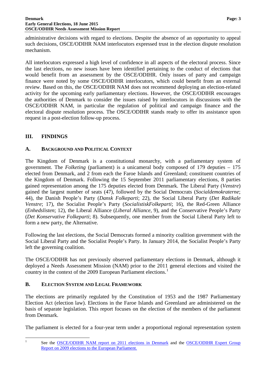#### **Denmark Page: 3 Early General Elections, 18 June 2015 OSCE/ODIHR Needs Assessment Mission Report**

administrative decisions with regard to elections. Despite the absence of an opportunity to appeal such decisions, OSCE/ODIHR NAM interlocutors expressed trust in the election dispute resolution mechanism.

All interlocutors expressed a high level of confidence in all aspects of the electoral process. Since the last elections, no new issues have been identified pertaining to the conduct of elections that would benefit from an assessment by the OSCE/ODIHR. Only issues of party and campaign finance were noted by some OSCE/ODIHR interlocutors, which could benefit from an external review. Based on this, the OSCE/ODIHR NAM does not recommend deploying an election-related activity for the upcoming early parliamentary elections. However, the OSCE/ODIHR encourages the authorities of Denmark to consider the issues raised by interlocutors in discussions with the OSCE/ODIHR NAM, in particular the regulation of political and campaign finance and the electoral dispute resolution process. The OSCE/ODIHR stands ready to offer its assistance upon request in a post-election follow-up process.

# <span id="page-4-0"></span>**III. FINDINGS**

# <span id="page-4-1"></span>**A. BACKGROUND AND POLITICAL CONTEXT**

The Kingdom of Denmark is a constitutional monarchy, with a parliamentary system of government. The *Folketing* (parliament) is a unicameral body composed of 179 deputies – 175 elected from Denmark, and 2 from each the Faroe Islands and Greenland; constituent countries of the Kingdom of Denmark. Following the 15 September 2011 parliamentary elections, 8 parties gained representation among the 175 deputies elected from Denmark. The Liberal Party (*Venstre*) gained the largest number of seats (47), followed by the Social Democrats (*Socialdemokraterne*; 44), the Danish People's Party (*Dansk Folkeparti*; 22), the Social Liberal Party (*Det Radikale Venstre*; 17), the Socialist People's Party (*SocialistiskFolkeparti*; 16), the Red-Green Alliance (*Enhedslisten*; 12), the Liberal Alliance (*Liberal Alliance*, 9), and the Conservative People's Party (*Det Konservative Folkeparti*; 8). Subsequently, one member from the Social Liberal Party left to form a new party, the Alternative.

Following the last elections, the Social Democrats formed a minority coalition government with the Social Liberal Party and the Socialist People's Party. In January 2014, the Socialist People's Party left the governing coalition.

The OSCE/ODIHR has not previously observed parliamentary elections in Denmark, although it deployed a Needs Assessment Mission (NAM) prior to the 2011 general elections and visited the country in the context of the 2009 European Parliament elections.<sup>[1](#page-4-3)</sup>

# <span id="page-4-2"></span>**B. ELECTION SYSTEM AND LEGAL FRAMEWORK**

The elections are primarily regulated by the Constitution of 1953 and the 1987 Parliamentary Election Act (election law). Elections in the Faroe Islands and Greenland are administered on the basis of separate legislation. This report focuses on the election of the members of the parliament from Denmark.

The parliament is elected for a four-year term under a proportional regional representation system

<span id="page-4-3"></span>

<sup>&</sup>lt;sup>1</sup> See the <u>[OSCE/ODIHR NAM report on 2011 elections in Denmark](http://www.osce.org/odihr/82639?download=true)</u> and the <u>OSCE/ODIHR Expert Group</u> [Report on 2009 elections to the European Parliament.](http://www.osce.org/odihr/elections/eu/38680)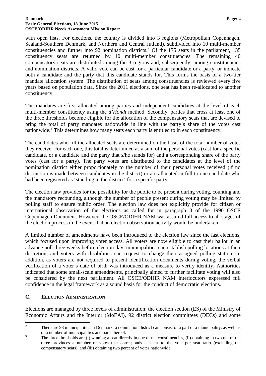with open lists. For elections, the country is divided into 3 regions (Metropolitan Copenhagen, Sealand-Southern Denmark, and Northern and Central Jutland), subdivided into 10 multi-member constituencies and further into 9[2](#page-5-1) nomination districts.<sup>2</sup> Of the 175 seats in the parliament, 135 constituency seats are returned by 10 multi-member constituencies. The remaining 40 compensatory seats are distributed among the 3 regions and, subsequently, among constituencies and nomination districts. A valid vote can be cast for a particular candidate or a party, or indicate both a candidate and the party that this candidate stands for. This forms the basis of a two-tier mandate allocation system. The distribution of seats among constituencies is reviewed every five years based on population data. Since the 2011 elections, one seat has been re-allocated to another constituency.

The mandates are first allocated among parties and independent candidates at the level of each multi-member constituency using the *d'Hondt* method. Secondly, parties that cross at least one of the three thresholds become eligible for the allocation of the compensatory seats that are devised to bring the total of party mandates nationwide in line with the party's share of the votes cast nationwide.<sup>[3](#page-5-2)</sup> This determines how many seats each party is entitled to in each constituency.

The candidates who fill the allocated seats are determined on the basis of the total number of votes they receive. For each one, this total is determined as a sum of the personal votes (cast for a specific candidate, or a candidate and the party that s/he stands for) and a corresponding share of the party votes (cast for a party). The party votes are distributed to the candidates at the level of the nomination district either proportionately to the number of their personal votes received (if no distinction is made between candidates in the district) or are allocated in full to one candidate who had been registered as 'standing in the district' for a specific party.

The election law provides for the possibility for the public to be present during voting, counting and the mandatory recounting, although the number of people present during voting may be limited by polling staff to ensure public order. The election law does not explicitly provide for citizen or international observation of the elections as called for in paragraph 8 of the 1990 OSCE Copenhagen Document. However, the OSCE/ODIHR NAM was assured full access to all stages of the election process in the event that an election observation activity would be undertaken.

A limited number of amendments have been introduced to the election law since the last elections, which focused upon improving voter access. All voters are now eligible to cast their ballot in an advance poll three weeks before election day, municipalities can establish polling locations at their discretion, and voters with disabilities can request to change their assigned polling station. In addition, as voters are not required to present identification documents during voting, the verbal verification of a voter's date of birth was introduced as a measure to verify identity. Authorities indicated that some small-scale amendments, principally aimed to further facilitate voting will also be considered by the next parliament. All OSCE/ODIHR NAM interlocutors expressed full confidence in the legal framework as a sound basis for the conduct of democratic elections.

# <span id="page-5-0"></span>**C. ELECTION ADMINISTRATION**

Elections are managed by three levels of administration: the election section (ES) of the Ministry of Economic Affairs and the Interior (MoEAI), 92 district election committees (DECs) and some

<span id="page-5-1"></span><sup>&</sup>lt;sup>2</sup> There are 98 municipalities in Denmark; a nomination district can consist of a part of a municipality, as well as

<span id="page-5-2"></span>of a number of municipalities and parts thereof.<br><sup>3</sup> The three thresholds are (i) winning a seat directly in one of the constituencies, (ii) obtaining in two out of the three provinces a number of votes that corresponds at least to the vote per seat ratio (excluding the compensatory seats), and (iii) obtaining two percent of votes nationwide.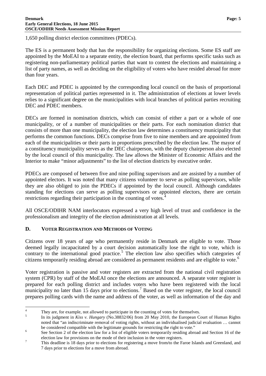1,650 polling district election committees (PDECs).

The ES is a permanent body that has the responsibility for organizing elections. Some ES staff are appointed by the MoEAI to a separate entity, the election board, that performs specific tasks such as registering non-parliamentary political parties that want to contest the elections and maintaining a list of party names, as well as deciding on the eligibility of voters who have resided abroad for more than four years.

Each DEC and PDEC is appointed by the corresponding local council on the basis of proportional representation of political parties represented in it. The administration of elections at lower levels relies to a significant degree on the municipalities with local branches of political parties recruiting DEC and PDEC members.

DECs are formed in nomination districts, which can consist of either a part or a whole of one municipality, or of a number of municipalities or their parts. For each nomination district that consists of more than one municipality, the election law determines a constituency municipality that performs the common functions. DECs comprise from five to nine members and are appointed from each of the municipalities or their parts in proportions prescribed by the election law. The mayor of a constituency municipality serves as the DEC chairperson, with the deputy chairperson also elected by the local council of this municipality. The law allows the Minister of Economic Affairs and the Interior to make "minor adjustments" to the list of election districts by executive order.

PDECs are composed of between five and nine polling supervisors and are assisted by a number of appointed electors. It was noted that many citizens volunteer to serve as polling supervisors, while they are also obliged to join the PDECs if appointed by the local council. Although candidates standing for elections can serve as polling supervisors or appointed electors, there are certain restrictions regarding their participation in the counting of votes.<sup>[4](#page-6-1)</sup>

All OSCE/ODIHR NAM interlocutors expressed a very high level of trust and confidence in the professionalism and integrity of the election administration at all levels.

# <span id="page-6-0"></span>**D. VOTER REGISTRATION AND METHODS OF VOTING**

Citizens over 18 years of age who permanently reside in Denmark are eligible to vote. Those deemed legally incapacitated by a court decision automatically lose the right to vote, which is contrary to the international good practice.<sup>[5](#page-6-2)</sup> The election law also specifies which categories of citizens temporarily residing abroad are considered as permanent residents and are eligible to vote. [6](#page-6-3)

Voter registration is passive and voter registers are extracted from the national civil registration system (CPR) by staff of the MoEAI once the elections are announced. A separate voter register is prepared for each polling district and includes voters who have been registered with the local municipality no later than 15 days prior to elections.<sup>[7](#page-6-4)</sup> Based on the voter register, the local council prepares polling cards with the name and address of the voter, as well as information of the day and

<span id="page-6-2"></span>

<span id="page-6-1"></span><sup>&</sup>lt;sup>4</sup> They are, for example, not allowed to participate in the counting of votes for themselves.<br><sup>5</sup> In its judgment in *Kiss v. Hungary* (No.38832/06) from 20 May 2010, the European Court of Human Rights noted that "an indiscriminate removal of voting rights, without an individualised judicial evaluation … cannot be considered compatible with the legitimate grounds for restricting the right to vote."<br>See Section 2 of the election law for a list of eligible voters temporarily residing abroad and Section 16 of the

<span id="page-6-3"></span>

<span id="page-6-4"></span>election law for provisions on the mode of their inclusion in the voter registers.<br>This deadline is 18 days prior to elections for registering a move from/to the Faroe Islands and Greenland, and 7 days prior to elections for a move from abroad.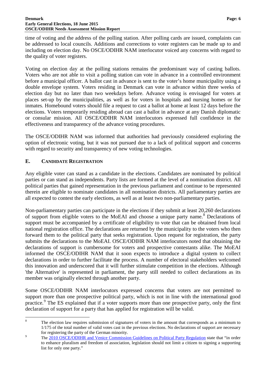#### **Denmark Page: 6 Early General Elections, 18 June 2015 OSCE/ODIHR Needs Assessment Mission Report**

time of voting and the address of the polling station. After polling cards are issued, complaints can be addressed to local councils. Additions and corrections to voter registers can be made up to and including on election day. No OSCE/ODIHR NAM interlocutor voiced any concerns with regard to the quality of voter registers.

Voting on election day at the polling stations remains the predominant way of casting ballots. Voters who are not able to visit a polling station can vote in advance in a controlled environment before a municipal officer. A ballot cast in advance is sent to the voter's home municipality using a double envelope system. Voters residing in Denmark can vote in advance within three weeks of election day but no later than two weekdays before. Advance voting is envisaged for voters at places set-up by the municipalities, as well as for voters in hospitals and nursing homes or for inmates. Homebound voters should file a request to cast a ballot at home at least 12 days before the elections. Voters temporarily residing abroad can cast a ballot in advance at any Danish diplomatic or consular mission. All OSCE/ODIHR NAM interlocutors expressed full confidence in the effectiveness and transparency of the advance voting procedures.

The OSCE/ODIHR NAM was informed that authorities had previously considered exploring the option of electronic voting, but it was not pursued due to a lack of political support and concerns with regard to security and transparency of new voting technologies.

# <span id="page-7-0"></span>**E. CANDIDATE REGISTRATION**

Any eligible voter can stand as a candidate in the elections. Candidates are nominated by political parties or can stand as independents. Party lists are formed at the level of a nomination district. All political parties that gained representation in the previous parliament and continue to be represented therein are eligible to nominate candidates in all nomination districts. All parliamentary parties are all expected to contest the early elections, as well as at least two non-parliamentary parties.

Non-parliamentary parties can participate in the elections if they submit at least 20,260 declarations of support from eligible voters to the MoEAI and choose a unique party name.<sup>[8](#page-7-1)</sup> Declarations of support must be accompanied by a certificate of eligibility to vote that can be obtained from local national registration office. The declarations are returned by the municipality to the voters who then forward them to the political party that seeks registration. Upon request for registration, the party submits the declarations to the MoEAI. OSCE/ODIHR NAM interlocutors noted that obtaining the declarations of support is cumbersome for voters and prospective contestants alike. The MoEAI informed the OSCE/ODIHR NAM that it soon expects to introduce a digital system to collect declarations in order to further facilitate the process. A number of electoral stakeholders welcomed this innovation and underscored that it will further stimulate competition in the elections. Although 'the Alternative' is represented in parliament*,* the party still needed to collect declarations as its member was originally elected through another party.

Some OSCE/ODIHR NAM interlocutors expressed concerns that voters are not permitted to support more than one prospective political party, which is not in line with the international good practice.<sup>[9](#page-7-2)</sup> The ES explained that if a voter supports more than one prospective party, only the first declaration of support for a party that has applied for registration will be valid.

<span id="page-7-1"></span><sup>&</sup>lt;sup>8</sup> The election law requires submission of signatures of voters in the amount that corresponds as a minimum to 1/175 of the total number of valid votes cast in the previous elections. No declarations of support are necessary

<span id="page-7-2"></span>for registering the party of the German minority.<br><sup>9</sup> The [2010 OSCE/ODIHR and Venice Commission Guidelines on Political Party Regulation](http://www.osce.org/odihr/77812) state that "in order to enhance pluralism and freedom of association, legislation should not limit a citizen to signing a supporting list for only one party."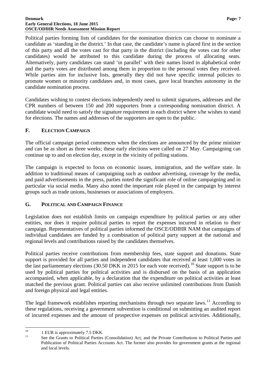#### **Denmark Page: 7 Early General Elections, 18 June 2015 OSCE/ODIHR Needs Assessment Mission Report**

Political parties forming lists of candidates for the nomination districts can choose to nominate a candidate as 'standing in the district.' In that case, the candidate's name is placed first in the section of this party and all the votes cast for that party in the district (including the votes cast for other candidates) would be attributed to this candidate during the process of allocating seats. Alternatively, party candidates can stand 'in parallel' with their names listed in alphabetical order and the party votes are distributed among them in proportion to the personal votes they received. While parties aim for inclusive lists, generally they did not have specific internal policies to promote women or minority candidates and, in most cases, gave local branches autonomy in the candidate nomination process.

Candidates wishing to contest elections independently need to submit signatures, addresses and the CPR numbers of between 150 and 200 supporters from a corresponding nomination district. A candidate would need to satisfy the signature requirement in each district where s/he wishes to stand for elections. The names and addresses of the supporters are open to the public.

## <span id="page-8-0"></span>**F. ELECTION CAMPAIGN**

The official campaign period commences when the elections are announced by the prime minister and can be as short as three weeks; these early elections were called on 27 May. Campaigning can continue up to and on election day, except in the vicinity of polling stations.

The campaign is expected to focus on economic issues, immigration, and the welfare state. In addition to traditional means of campaigning such as outdoor advertising, coverage by the media, and paid advertisements in the press, parties noted the significant role of online campaigning and in particular via social media. Many also noted the important role played in the campaign by interest groups such as trade unions, businesses or associations of employers.

# <span id="page-8-1"></span>**G. POLITICAL AND CAMPAIGN FINANCE**

Legislation does not establish limits on campaign expenditure by political parties or any other entities, nor does it require political parties to report the expenses incurred in relation to their campaign. Representatives of political parties informed the OSCE/ODIHR NAM that campaigns of individual candidates are funded by a combination of political party support at the national and regional levels and contributions raised by the candidates themselves.

Political parties receive contributions from membership fees, state support and donations. State support is provided for all parties and independent candidates that received at least 1,000 votes in the last parliamentary elections (30.50 DKK in 2015 for each vote received).<sup>[10](#page-8-2)</sup> State support is to be used by political parties for political activities and is disbursed on the basis of an application accompanied, when applicable, by a declaration that the expenditure on political activities at least matched the previous grant. Political parties can also receive unlimited contributions from Danish and foreign physical and legal entities.

The legal framework establishes reporting mechanisms through two separate laws.<sup>[11](#page-8-3)</sup> According to these regulations, receiving a government subvention is conditional on submitting an audited report of incurred expenses and the amount of prospective expenses on political activities. Additionally,

<span id="page-8-3"></span>

<span id="page-8-2"></span><sup>&</sup>lt;sup>10</sup> 1 EUR is approximately 7.5 DKK.<br><sup>11</sup> See the Grants to Political Parties (Consolidation) Act, and the Private Contributions to Political Parties and Publication of Political Parties Accounts Act. The former also provides for government grants at the regional and local levels.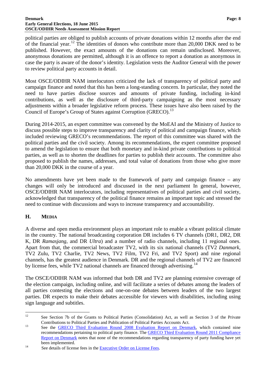#### **Denmark Page: 8 Early General Elections, 18 June 2015 OSCE/ODIHR Needs Assessment Mission Report**

political parties are obliged to publish accounts of private donations within 12 months after the end of the financial year.<sup>[12](#page-9-1)</sup> The identities of donors who contribute more than 20,000 DKK need to be published. However, the exact amounts of the donations can remain undisclosed. Moreover, anonymous donations are permitted, although it is an offence to report a donation as anonymous in case the party is aware of the donor's identity. Legislation vests the Auditor General with the power to review political party accounts in detail.

Most OSCE/ODIHR NAM interlocutors criticized the lack of transparency of political party and campaign finance and noted that this has been a long-standing concern. In particular, they noted the need to have parties disclose sources and amounts of private funding, including in-kind contributions, as well as the disclosure of third-party campaigning as the most necessary adjustments within a broader legislative reform process. These issues have also been raised by the Council of Europe's Group of States against Corruption (GRECO).<sup>[13](#page-9-2)</sup>

During 2014-2015, an expert committee was convened by the MoEAI and the Ministry of Justice to discuss possible steps to improve transparency and clarity of political and campaign finance, which included reviewing GRECO's recommendations. The report of this committee was shared with the political parties and the civil society. Among its recommendations, the expert committee proposed to amend the legislation to ensure that both monetary and in-kind private contributions to political parties, as well as to shorten the deadlines for parties to publish their accounts. The committee also proposed to publish the names, addresses, and total value of donations from those who give more than 20,000 DKK in the course of a year.

No amendments have yet been made to the framework of party and campaign finance – any changes will only be introduced and discussed in the next parliament In general, however, OSCE/ODIHR NAM interlocutors, including representatives of political parties and civil society, acknowledged that transparency of the political finance remains an important topic and stressed the need to continue with discussions and ways to increase transparency and accountability.

# <span id="page-9-0"></span>**H. MEDIA**

A diverse and open media environment plays an important role to enable a vibrant political climate in the country. The national broadcasting corporation DR includes 6 TV channels (DR1, DR2, DR K, DR *Ramasjang*, and DR *Ultra*) and a number of radio channels, including 11 regional ones. Apart from that, the commercial broadcaster TV2, with its six national channels (TV2 *Danmark*, TV2 Zulu, TV2 Charlie, TV2 News, TV2 Film, TV2 Fri, and TV2 Sport) and nine regional channels, has the greatest audience in Denmark. DR and the regional channels of TV2 are financed by license fees, while TV2 national channels are financed through advertising.<sup>[14](#page-9-3)</sup>

The OSCE/ODIHR NAM was informed that both DR and TV2 are planning extensive coverage of the election campaign, including online, and will facilitate a series of debates among the leaders of all parties contesting the elections and one-on-one debates between leaders of the two largest parties. DR expects to make their debates accessible for viewers with disabilities, including using sign language and subtitles.

<span id="page-9-1"></span><sup>&</sup>lt;sup>12</sup> See Section 7b of the Grants to Political Parties (Consolidation) Act, as well as Section 3 of the Private

<span id="page-9-2"></span>Contributions to Political Parties and Publication of Political Parties Accounts Act.<br>
<sup>13</sup> See the <u>GRECO Third Evaluation Round 2008 Evaluation Report on Denmark</u>, which contained nine recommendations pertaining to political party finance. The [GRECO Third Evaluation Round 2011 Compliance](http://www.coe.int/t/dghl/monitoring/greco/evaluations/round3/GrecoRC3(2011)8_Denmark_EN.pdf)  [Report on Denmark](http://www.coe.int/t/dghl/monitoring/greco/evaluations/round3/GrecoRC3(2011)8_Denmark_EN.pdf) notes that none of the recommendations regarding transparency of party funding have yet

<span id="page-9-3"></span>been implemented.<br><sup>14</sup> See details of license fees in the <u>Executive Order on License Fees</u>.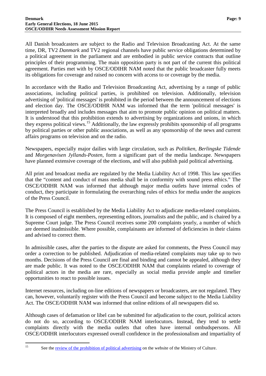All Danish broadcasters are subject to the Radio and Television Broadcasting Act. At the same time, DR, TV2 *Danmark* and TV2 regional channels have public service obligations determined by a political agreement in the parliament and are embodied in public service contracts that outline principles of their programming. The main opposition party is not part of the current this political agreement. Parties met with by OSCE/ODIHR NAM noted that the public broadcaster fully meets its obligations for coverage and raised no concern with access to or coverage by the media.

In accordance with the Radio and Television Broadcasting Act, advertising by a range of public associations, including political parties, is prohibited on television. Additionally, television advertising of 'political messages' is prohibited in the period between the announcement of elections and election day. The OSCE/ODIHR NAM was informed that the term 'political messages' is interpreted broadly and includes messages that aim to promote public opinion on political matters. It is understood that this prohibition extends to advertising by organizations and unions, in which they express political views.<sup>[15](#page-10-0)</sup> Additionally, the law expressly prohibits sponsorship of all programs by political parties or other public associations, as well as any sponsorship of the news and current affairs programs on television and on the radio.

Newspapers, especially major dailies with large circulation, such as *Politiken*, *Berlingske Tidende* and *Morgenavisen Jyllands-Posten*, form a significant part of the media landscape. Newspapers have planned extensive coverage of the elections, and will also publish paid political advertising.

All print and broadcast media are regulated by the Media Liability Act of 1998. This law specifies that the "content and conduct of mass media shall be in conformity with sound press ethics." The OSCE/ODIHR NAM was informed that although major media outlets have internal codes of conduct, they participate in formulating the overarching rules of ethics for media under the auspices of the Press Council.

The Press Council is established by the Media Liability Act to adjudicate media-related complaints. It is composed of eight members, representing editors, journalists and the public, and is chaired by a Supreme Court judge. The Press Council receives some 200 complaints yearly, a number of which are deemed inadmissible. Where possible, complainants are informed of deficiencies in their claims and advised to correct them.

In admissible cases, after the parties to the dispute are asked for comments, the Press Council may order a correction to be published. Adjudication of media-related complaints may take up to two months. Decisions of the Press Council are final and binding and cannot be appealed, although they are made public. It was noted to the OSCE/ODIHR NAM that complaints related to coverage of political actors in the media are rare, especially as social media provide ample and timelier opportunities to react to possible issues.

Internet resources, including on-line editions of newspapers or broadcasters, are not regulated. They can, however, voluntarily register with the Press Council and become subject to the Media Liability Act. The OSCE/ODIHR NAM was informed that online editions of all newspapers did so.

Although cases of defamation or libel can be submitted for adjudication to the court, political actors do not do so, according to OSCE/ODIHR NAM interlocutors. Instead, they tend to settle complaints directly with the media outlets that often have internal ombudspersons. All OSCE/ODIHR interlocutors expressed overall confidence in the professionalism and impartiality of

<span id="page-10-0"></span><sup>&</sup>lt;sup>15</sup> See the <u>review of the prohibition of political advertising</u> on the website of the Ministry of Culture.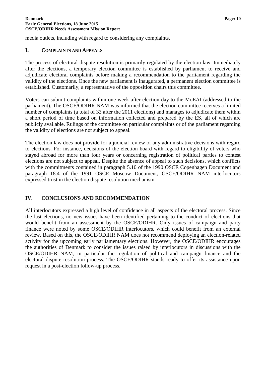media outlets, including with regard to considering any complaints.

#### <span id="page-11-0"></span>**I. COMPLAINTS AND APPEALS**

The process of electoral dispute resolution is primarily regulated by the election law. Immediately after the elections, a temporary election committee is established by parliament to receive and adjudicate electoral complaints before making a recommendation to the parliament regarding the validity of the elections. Once the new parliament is inaugurated, a permanent election committee is established. Customarily, a representative of the opposition chairs this committee.

Voters can submit complaints within one week after election day to the MoEAI (addressed to the parliament). The OSCE/ODIHR NAM was informed that the election committee receives a limited number of complaints (a total of 33 after the 2011 elections) and manages to adjudicate them within a short period of time based on information collected and prepared by the ES, all of which are publicly available. Rulings of the committee on particular complaints or of the parliament regarding the validity of elections are not subject to appeal.

The election law does not provide for a judicial review of any administrative decisions with regard to elections. For instance, decisions of the election board with regard to eligibility of voters who stayed abroad for more than four years or concerning registration of political parties to contest elections are not subject to appeal. Despite the absence of appeal to such decisions, which conflicts with the commitments contained in paragraph 5.10 of the 1990 OSCE Copenhagen Document and paragraph 18.4 of the 1991 OSCE Moscow Document, OSCE/ODIHR NAM interlocutors expressed trust in the election dispute resolution mechanism.

# <span id="page-11-1"></span>**IV. CONCLUSIONS AND RECOMMENDATION**

All interlocutors expressed a high level of confidence in all aspects of the electoral process. Since the last elections, no new issues have been identified pertaining to the conduct of elections that would benefit from an assessment by the OSCE/ODIHR. Only issues of campaign and party finance were noted by some OSCE/ODIHR interlocutors, which could benefit from an external review. Based on this, the OSCE/ODIHR NAM does not recommend deploying an election-related activity for the upcoming early parliamentary elections. However, the OSCE/ODIHR encourages the authorities of Denmark to consider the issues raised by interlocutors in discussions with the OSCE/ODIHR NAM, in particular the regulation of political and campaign finance and the electoral dispute resolution process. The OSCE/ODIHR stands ready to offer its assistance upon request in a post-election follow-up process.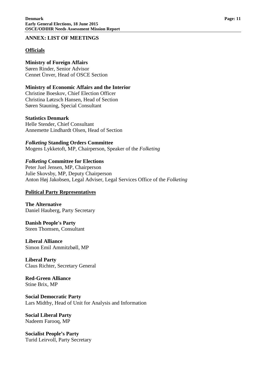#### **ANNEX: LIST OF MEETINGS**

### **Officials**

#### **Ministry of Foreign Affairs** Søren Rinder, Senior Advisor

Cennet Ünver, Head of OSCE Section

#### **Ministry of Economic Affairs and the Interior** Christine Boeskov, Chief Election Officer

Christina Løtzsch Hansen, Head of Section Søren Stauning, Special Consultant

# **Statistics Denmark**

Helle Stender, Chief Consultant Annemette Lindhardt Olsen, Head of Section

# *Folketing* **Standing Orders Committee**

Mogens Lykketoft, MP, Chairperson, Speaker of the *Folketing*

# *Folketing* **Committee for Elections**

Peter Juel Jensen, MP, Chairperson Julie Skovsby, MP, Deputy Chairperson Anton Høj Jakobsen, Legal Adviser, Legal Services Office of the *Folketing*

# **Political Party Representatives**

**The Alternative** Daniel Hauberg, Party Secretary

#### **Danish People's Party** Steen Thomsen, Consultant

**Liberal Alliance** Simon Emil Ammitzbøll, MP

#### **Liberal Party** Claus Richter, Secretary General

**Red-Green Alliance** Stine Brix, MP

#### **Social Democratic Party** Lars Midtby, Head of Unit for Analysis and Information

#### **Social Liberal Party** Nadeem Farooq, MP

**Socialist People's Party** Turid Leirvoll, Party Secretary